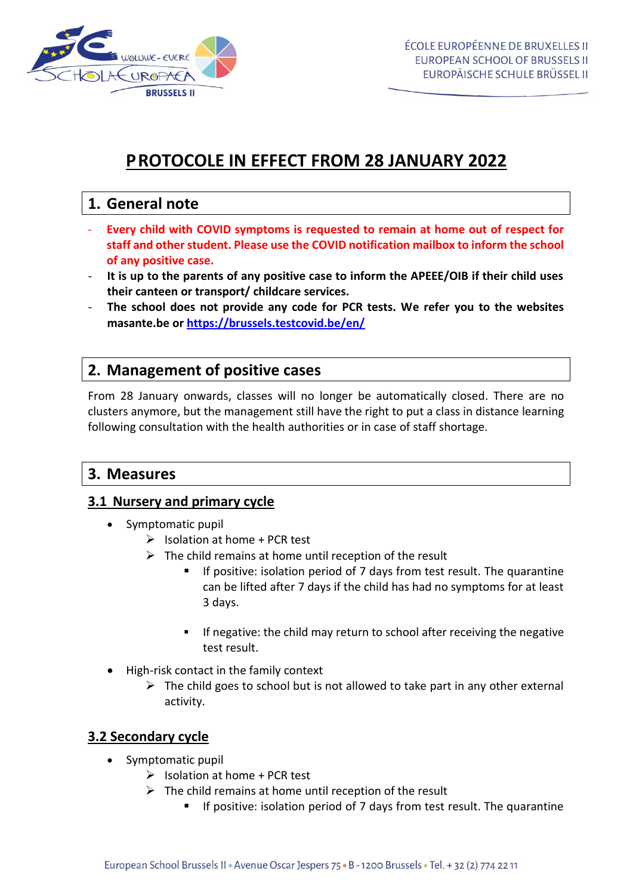

# **PROTOCOLE IN EFFECT FROM 28 JANUARY 2022**

# **1. General note**

- **Every child with COVID symptoms is requested to remain at home out of respect for staff and other student. Please use the COVID notification mailbox to inform the school of any positive case.**
- **It is up to the parents of any positive case to inform the APEEE/OIB if their child uses their canteen or transport/ childcare services.**
- **The school does not provide any code for PCR tests. We refer you to the websites masante.be or<https://brussels.testcovid.be/en/>**

## **2. Management of positive cases**

From 28 January onwards, classes will no longer be automatically closed. There are no clusters anymore, but the management still have the right to put a class in distance learning following consultation with the health authorities or in case of staff shortage.

## **3. Measures**

### **3.1 Nursery and primary cycle**

- Symptomatic pupil
	- $\triangleright$  Isolation at home + PCR test
	- $\triangleright$  The child remains at home until reception of the result
		- If positive: isolation period of 7 days from test result. The quarantine can be lifted after 7 days if the child has had no symptoms for at least 3 days.
		- **•** If negative: the child may return to school after receiving the negative test result.
- High-risk contact in the family context
	- $\triangleright$  The child goes to school but is not allowed to take part in any other external activity.

### **3.2 Secondary cycle**

- Symptomatic pupil
	- $\triangleright$  Isolation at home + PCR test
	- $\triangleright$  The child remains at home until reception of the result
		- If positive: isolation period of 7 days from test result. The quarantine